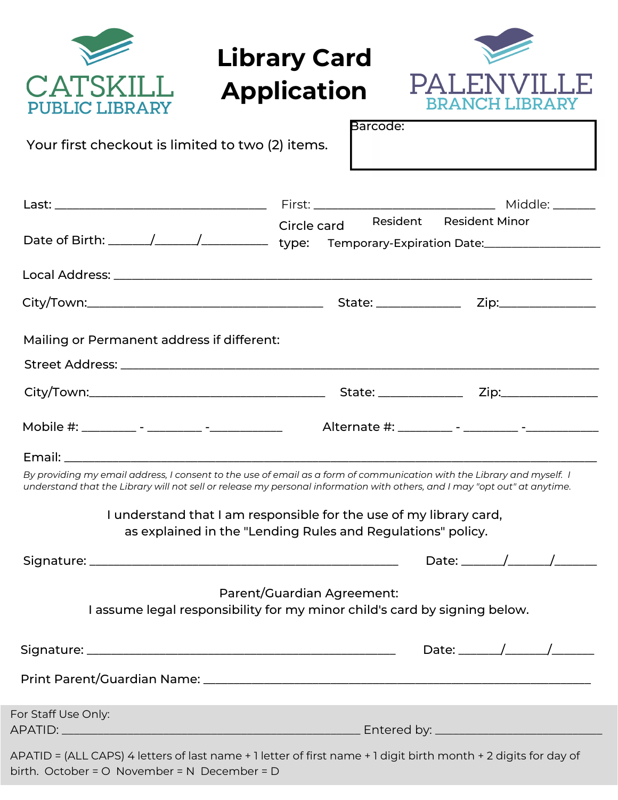| <b>Library Card</b><br>CAYSKII.<br><b>Application</b><br>IBLIC LIBRARY                                                                                                                                                                                                                                                                                                                   | RRA NO<br>CH LIBRARY<br>Barcode: |
|------------------------------------------------------------------------------------------------------------------------------------------------------------------------------------------------------------------------------------------------------------------------------------------------------------------------------------------------------------------------------------------|----------------------------------|
| Your first checkout is limited to two (2) items.                                                                                                                                                                                                                                                                                                                                         |                                  |
|                                                                                                                                                                                                                                                                                                                                                                                          | Resident Resident Minor          |
| Circle card<br>Date of Birth: ______/______/________________ type: Temporary-Expiration Date: _____________________                                                                                                                                                                                                                                                                      |                                  |
|                                                                                                                                                                                                                                                                                                                                                                                          |                                  |
|                                                                                                                                                                                                                                                                                                                                                                                          |                                  |
| Mailing or Permanent address if different:                                                                                                                                                                                                                                                                                                                                               |                                  |
|                                                                                                                                                                                                                                                                                                                                                                                          |                                  |
|                                                                                                                                                                                                                                                                                                                                                                                          |                                  |
|                                                                                                                                                                                                                                                                                                                                                                                          |                                  |
| By providing my email address, I consent to the use of email as a form of communication with the Library and myself. I<br>understand that the Library will not sell or release my personal information with others, and I may "opt out" at anytime.<br>I understand that I am responsible for the use of my library card,<br>as explained in the "Lending Rules and Regulations" policy. |                                  |
|                                                                                                                                                                                                                                                                                                                                                                                          | Date: $\frac{\sqrt{2}}{2}$       |
| Parent/Guardian Agreement:<br>I assume legal responsibility for my minor child's card by signing below.                                                                                                                                                                                                                                                                                  |                                  |
|                                                                                                                                                                                                                                                                                                                                                                                          | Date: $\sqrt{ }$                 |
|                                                                                                                                                                                                                                                                                                                                                                                          |                                  |
| For Staff Use Only:                                                                                                                                                                                                                                                                                                                                                                      |                                  |
| APATID = (ALL CAPS) 4 letters of last name + 1 letter of first name + 1 digit birth month + 2 digits for day of<br>$\sim$ the later $\sim$ Measured as $\sim$ MED associated $\sim$                                                                                                                                                                                                      |                                  |

birth. October = O November = N December = D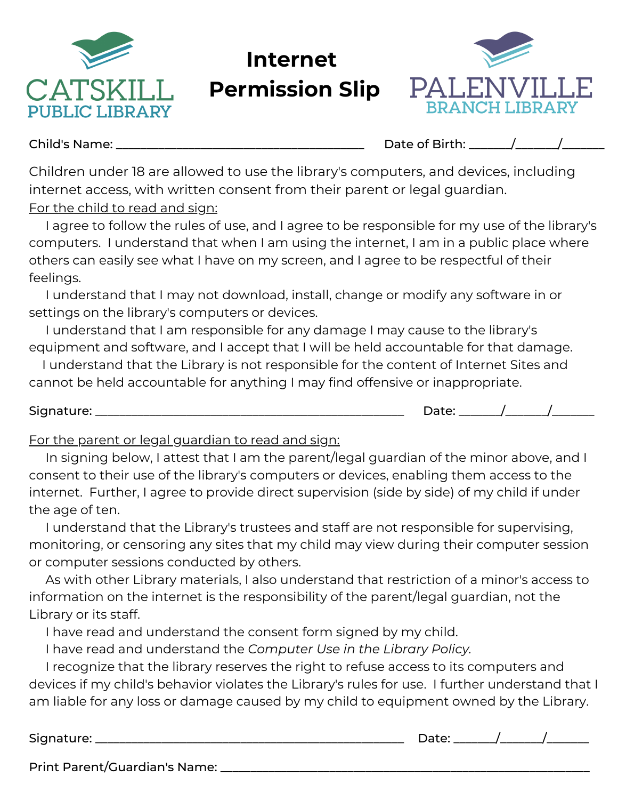

**Internet Permission Slip**



Child's Name: The Child's Name: The Child's Name: The Child's Name: The Child's Name: The Child's Name: The Child

Children under 18 are allowed to use the library's computers, and devices, including internet access, with written consent from their parent or legal guardian. For the child to read and sign:

I agree to follow the rules of use, and I agree to be responsible for my use of the library's computers. I understand that when I am using the internet, I am in a public place where others can easily see what I have on my screen, and I agree to be respectful of their feelings.

I understand that I may not download, install, change or modify any software in or settings on the library's computers or devices.

I understand that I am responsible for any damage I may cause to the library's equipment and software, and I accept that I will be held accountable for that damage.

I understand that the Library is not responsible for the content of Internet Sites and cannot be held accountable for anything I may find offensive or inappropriate.

### Signature: \_\_\_\_\_\_\_\_\_\_\_\_\_\_\_\_\_\_\_\_\_\_\_\_\_\_\_\_\_\_\_\_\_\_\_\_\_\_\_\_\_\_\_\_\_\_\_\_\_\_\_ Date: \_\_\_\_\_\_\_/\_\_\_\_\_\_\_/\_\_\_\_\_\_\_

#### For the parent or legal guardian to read and sign:

In signing below, I attest that I am the parent/legal guardian of the minor above, and I consent to their use of the library's computers or devices, enabling them access to the internet. Further, I agree to provide direct supervision (side by side) of my child if under the age of ten.

I understand that the Library's trustees and staff are not responsible for supervising, monitoring, or censoring any sites that my child may view during their computer session or computer sessions conducted by others.

As with other Library materials, I also understand that restriction of a minor's access to information on the internet is the responsibility of the parent/legal guardian, not the Library or its staff.

I have read and understand the consent form signed by my child.

I have read and understand the *Computer Use in the Library Policy.*

I recognize that the library reserves the right to refuse access to its computers and devices if my child's behavior violates the Library's rules for use. I further understand that I am liable for any loss or damage caused by my child to equipment owned by the Library.

Signature: \_\_\_\_\_\_\_\_\_\_\_\_\_\_\_\_\_\_\_\_\_\_\_\_\_\_\_\_\_\_\_\_\_\_\_\_\_\_\_\_\_\_\_\_\_\_\_\_\_\_\_ Date: \_\_\_\_\_\_\_/\_\_\_\_\_\_\_/\_\_\_\_\_\_\_

Print Parent/Guardian's Name: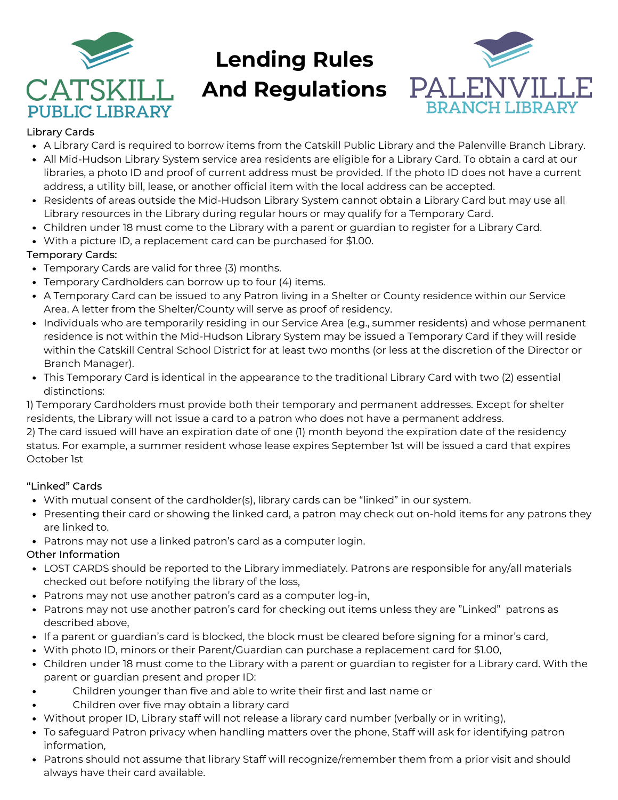

# **Lending Rules**

**And Regulations**



#### Library Cards

- A Library Card is required to borrow items from the Catskill Public Library and the Palenville Branch Library.
- All Mid-Hudson Library System service area residents are eligible for a Library Card. To obtain a card at our libraries, a photo ID and proof of current address must be provided. If the photo ID does not have a current address, a utility bill, lease, or another official item with the local address can be accepted.
- Residents of areas outside the Mid-Hudson Library System cannot obtain a Library Card but may use all Library resources in the Library during regular hours or may qualify for a Temporary Card.
- Children under 18 must come to the Library with a parent or guardian to register for a Library Card.
- With a picture ID, a replacement card can be purchased for \$1.00.

#### Temporary Cards:

- Temporary Cards are valid for three (3) months.
- Temporary Cardholders can borrow up to four (4) items.
- A Temporary Card can be issued to any Patron living in a Shelter or County residence within our Service Area. A letter from the Shelter/County will serve as proof of residency.
- Individuals who are temporarily residing in our Service Area (e.g., summer residents) and whose permanent residence is not within the Mid-Hudson Library System may be issued a Temporary Card if they will reside within the Catskill Central School District for at least two months (or less at the discretion of the Director or Branch Manager).
- This Temporary Card is identical in the appearance to the traditional Library Card with two (2) essential distinctions:

1) Temporary Cardholders must provide both their temporary and permanent addresses. Except for shelter residents, the Library will not issue a card to a patron who does not have a permanent address.

2) The card issued will have an expiration date of one (1) month beyond the expiration date of the residency status. For example, a summer resident whose lease expires September 1st will be issued a card that expires October 1st

#### "Linked" Cards

- With mutual consent of the cardholder(s), library cards can be "linked" in our system.
- Presenting their card or showing the linked card, a patron may check out on-hold items for any patrons they are linked to.
- Patrons may not use a linked patron's card as a computer login.

#### Other Information

- LOST CARDS should be reported to the Library immediately. Patrons are responsible for any/all materials checked out before notifying the library of the loss,
- Patrons may not use another patron's card as a computer log-in,
- Patrons may not use another patron's card for checking out items unless they are "Linked" patrons as described above,
- If a parent or guardian's card is blocked, the block must be cleared before signing for a minor's card,
- With photo ID, minors or their Parent/Guardian can purchase a replacement card for \$1.00,
- Children under 18 must come to the Library with a parent or guardian to register for a Library card. With the parent or guardian present and proper ID:
- Children younger than five and able to write their first and last name or  $\bullet$
- Children over five may obtain a library card
- Without proper ID, Library staff will not release a library card number (verbally or in writing),
- To safeguard Patron privacy when handling matters over the phone, Staff will ask for identifying patron information,
- Patrons should not assume that library Staff will recognize/remember them from a prior visit and should always have their card available.